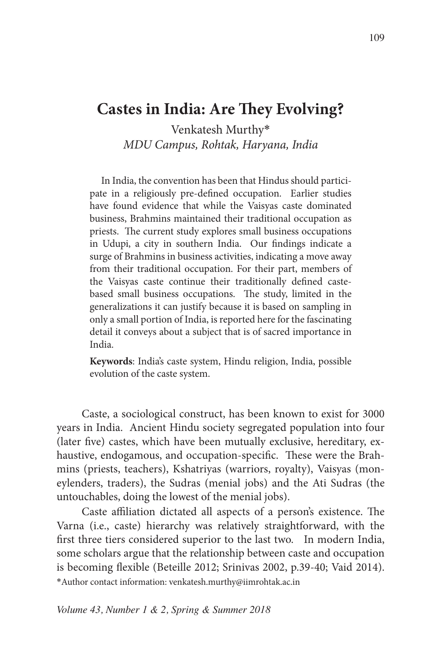# **Castes in India: Are They Evolving?**

Venkatesh Murthy\* *MDU Campus, Rohtak, Haryana, India*

In India, the convention has been that Hindus should participate in a religiously pre-defined occupation. Earlier studies have found evidence that while the Vaisyas caste dominated business, Brahmins maintained their traditional occupation as priests. The current study explores small business occupations in Udupi, a city in southern India. Our findings indicate a surge of Brahmins in business activities, indicating a move away from their traditional occupation. For their part, members of the Vaisyas caste continue their traditionally defined castebased small business occupations. The study, limited in the generalizations it can justify because it is based on sampling in only a small portion of India, is reported here for the fascinating detail it conveys about a subject that is of sacred importance in India.

**Keywords**: India's caste system, Hindu religion, India, possible evolution of the caste system.

Caste, a sociological construct, has been known to exist for 3000 years in India. Ancient Hindu society segregated population into four (later five) castes, which have been mutually exclusive, hereditary, exhaustive, endogamous, and occupation-specific. These were the Brahmins (priests, teachers), Kshatriyas (warriors, royalty), Vaisyas (moneylenders, traders), the Sudras (menial jobs) and the Ati Sudras (the untouchables, doing the lowest of the menial jobs).

Caste affiliation dictated all aspects of a person's existence. The Varna (i.e., caste) hierarchy was relatively straightforward, with the first three tiers considered superior to the last two. In modern India, some scholars argue that the relationship between caste and occupation is becoming flexible (Beteille 2012; Srinivas 2002, p.39-40; Vaid 2014). \*Author contact information: venkatesh.murthy@iimrohtak.ac.in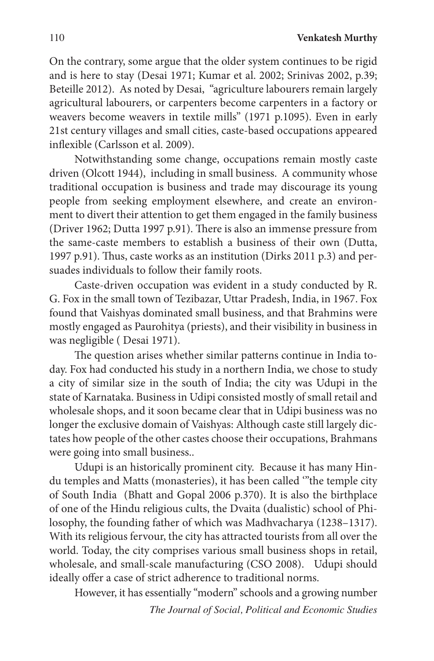On the contrary, some argue that the older system continues to be rigid and is here to stay (Desai 1971; Kumar et al. 2002; Srinivas 2002, p.39; Beteille 2012). As noted by Desai, "agriculture labourers remain largely agricultural labourers, or carpenters become carpenters in a factory or weavers become weavers in textile mills" (1971 p.1095). Even in early 21st century villages and small cities, caste-based occupations appeared inflexible (Carlsson et al. 2009).

Notwithstanding some change, occupations remain mostly caste driven (Olcott 1944), including in small business. A community whose traditional occupation is business and trade may discourage its young people from seeking employment elsewhere, and create an environment to divert their attention to get them engaged in the family business (Driver 1962; Dutta 1997 p.91). There is also an immense pressure from the same-caste members to establish a business of their own (Dutta, 1997 p.91). Thus, caste works as an institution (Dirks 2011 p.3) and persuades individuals to follow their family roots.

Caste-driven occupation was evident in a study conducted by R. G. Fox in the small town of Tezibazar, Uttar Pradesh, India, in 1967. Fox found that Vaishyas dominated small business, and that Brahmins were mostly engaged as Paurohitya (priests), and their visibility in business in was negligible ( Desai 1971).

The question arises whether similar patterns continue in India today. Fox had conducted his study in a northern India, we chose to study a city of similar size in the south of India; the city was Udupi in the state of Karnataka. Business in Udipi consisted mostly of small retail and wholesale shops, and it soon became clear that in Udipi business was no longer the exclusive domain of Vaishyas: Although caste still largely dictates how people of the other castes choose their occupations, Brahmans were going into small business..

Udupi is an historically prominent city. Because it has many Hindu temples and Matts (monasteries), it has been called '"the temple city of South India (Bhatt and Gopal 2006 p.370). It is also the birthplace of one of the Hindu religious cults, the Dvaita (dualistic) school of Philosophy, the founding father of which was Madhvacharya (1238–1317). With its religious fervour, the city has attracted tourists from all over the world. Today, the city comprises various small business shops in retail, wholesale, and small-scale manufacturing (CSO 2008). Udupi should ideally offer a case of strict adherence to traditional norms.

However, it has essentially "modern" schools and a growing number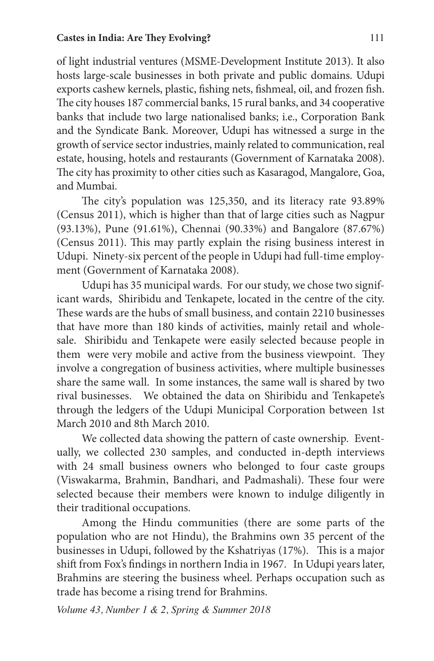of light industrial ventures (MSME-Development Institute 2013). It also hosts large-scale businesses in both private and public domains. Udupi exports cashew kernels, plastic, fishing nets, fishmeal, oil, and frozen fish. The city houses 187 commercial banks, 15 rural banks, and 34 cooperative banks that include two large nationalised banks; i.e., Corporation Bank and the Syndicate Bank. Moreover, Udupi has witnessed a surge in the growth of service sector industries, mainly related to communication, real estate, housing, hotels and restaurants (Government of Karnataka 2008). The city has proximity to other cities such as Kasaragod, Mangalore, Goa, and Mumbai.

The city's population was 125,350, and its literacy rate 93.89% (Census 2011), which is higher than that of large cities such as Nagpur (93.13%), Pune (91.61%), Chennai (90.33%) and Bangalore (87.67%) (Census 2011). This may partly explain the rising business interest in Udupi. Ninety-six percent of the people in Udupi had full-time employment (Government of Karnataka 2008).

Udupi has 35 municipal wards. For our study, we chose two significant wards, Shiribidu and Tenkapete, located in the centre of the city. These wards are the hubs of small business, and contain 2210 businesses that have more than 180 kinds of activities, mainly retail and wholesale. Shiribidu and Tenkapete were easily selected because people in them were very mobile and active from the business viewpoint. They involve a congregation of business activities, where multiple businesses share the same wall. In some instances, the same wall is shared by two rival businesses. We obtained the data on Shiribidu and Tenkapete's through the ledgers of the Udupi Municipal Corporation between 1st March 2010 and 8th March 2010.

We collected data showing the pattern of caste ownership. Eventually, we collected 230 samples, and conducted in-depth interviews with 24 small business owners who belonged to four caste groups (Viswakarma, Brahmin, Bandhari, and Padmashali). These four were selected because their members were known to indulge diligently in their traditional occupations.

Among the Hindu communities (there are some parts of the population who are not Hindu), the Brahmins own 35 percent of the businesses in Udupi, followed by the Kshatriyas (17%). This is a major shift from Fox's findings in northern India in 1967. In Udupi years later, Brahmins are steering the business wheel. Perhaps occupation such as trade has become a rising trend for Brahmins.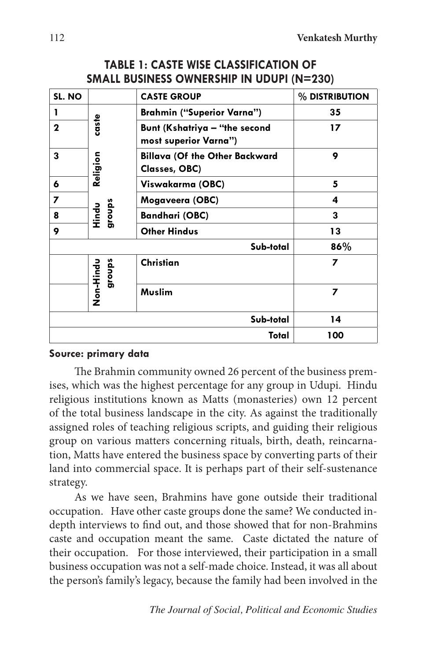| SL. NO      |                                      | <b>CASTE GROUP</b>                                     | % DISTRIBUTION |
|-------------|--------------------------------------|--------------------------------------------------------|----------------|
| 1           | caste<br>Religion<br>groups<br>Hindu | <b>Brahmin ("Superior Varna")</b>                      | 35             |
| $\mathbf 2$ |                                      | Bunt (Kshatriya - "the second<br>most superior Varna") | 17             |
| 3           |                                      | <b>Billava (Of the Other Backward</b><br>Classes, OBC) | 9              |
| 6           |                                      | Viswakarma (OBC)                                       | 5              |
| 7           |                                      | Mogaveera (OBC)                                        | 4              |
| 8           |                                      | <b>Bandhari (OBC)</b>                                  | 3              |
| 9           |                                      | <b>Other Hindus</b>                                    | 13             |
| Sub-total   |                                      |                                                        | 86%            |
|             | <b>DeiHind</b><br>groups             | <b>Christian</b>                                       | 7              |
|             |                                      | <b>Muslim</b>                                          | 7              |
| Sub-total   |                                      |                                                        | 14             |
| Total       |                                      |                                                        | 100            |

# **TABLE 1: CASTE WISE CLASSIFICATION OF SMALL BUSINESS OWNERSHIP IN UDUPI (N=230)**

#### **Source: primary data**

The Brahmin community owned 26 percent of the business premises, which was the highest percentage for any group in Udupi. Hindu religious institutions known as Matts (monasteries) own 12 percent of the total business landscape in the city. As against the traditionally assigned roles of teaching religious scripts, and guiding their religious group on various matters concerning rituals, birth, death, reincarnation, Matts have entered the business space by converting parts of their land into commercial space. It is perhaps part of their self-sustenance strategy.

As we have seen, Brahmins have gone outside their traditional occupation. Have other caste groups done the same? We conducted indepth interviews to find out, and those showed that for non-Brahmins caste and occupation meant the same. Caste dictated the nature of their occupation. For those interviewed, their participation in a small business occupation was not a self-made choice. Instead, it was all about the person's family's legacy, because the family had been involved in the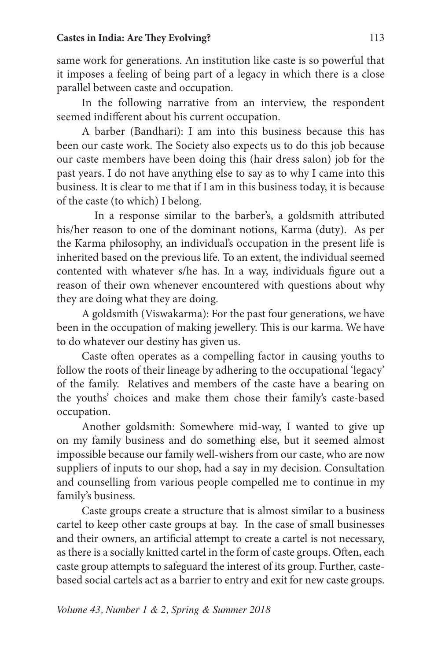same work for generations. An institution like caste is so powerful that it imposes a feeling of being part of a legacy in which there is a close parallel between caste and occupation.

In the following narrative from an interview, the respondent seemed indifferent about his current occupation.

A barber (Bandhari): I am into this business because this has been our caste work. The Society also expects us to do this job because our caste members have been doing this (hair dress salon) job for the past years. I do not have anything else to say as to why I came into this business. It is clear to me that if I am in this business today, it is because of the caste (to which) I belong.

In a response similar to the barber's, a goldsmith attributed his/her reason to one of the dominant notions, Karma (duty). As per the Karma philosophy, an individual's occupation in the present life is inherited based on the previous life. To an extent, the individual seemed contented with whatever s/he has. In a way, individuals figure out a reason of their own whenever encountered with questions about why they are doing what they are doing.

A goldsmith (Viswakarma): For the past four generations, we have been in the occupation of making jewellery. This is our karma. We have to do whatever our destiny has given us.

Caste often operates as a compelling factor in causing youths to follow the roots of their lineage by adhering to the occupational 'legacy' of the family. Relatives and members of the caste have a bearing on the youths' choices and make them chose their family's caste-based occupation.

Another goldsmith: Somewhere mid-way, I wanted to give up on my family business and do something else, but it seemed almost impossible because our family well-wishers from our caste, who are now suppliers of inputs to our shop, had a say in my decision. Consultation and counselling from various people compelled me to continue in my family's business.

Caste groups create a structure that is almost similar to a business cartel to keep other caste groups at bay. In the case of small businesses and their owners, an artificial attempt to create a cartel is not necessary, as there is a socially knitted cartel in the form of caste groups. Often, each caste group attempts to safeguard the interest of its group. Further, castebased social cartels act as a barrier to entry and exit for new caste groups.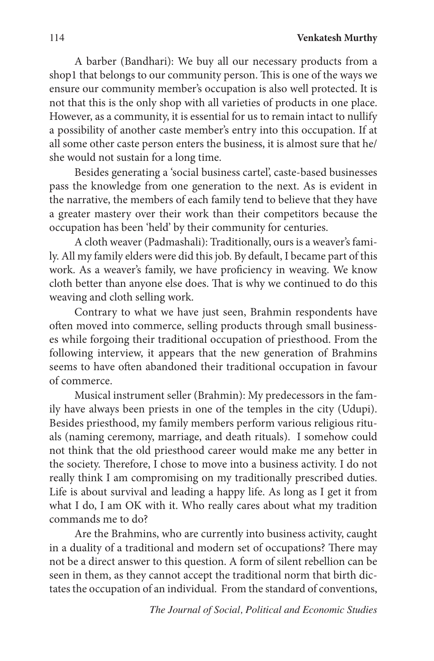A barber (Bandhari): We buy all our necessary products from a shop1 that belongs to our community person. This is one of the ways we ensure our community member's occupation is also well protected. It is not that this is the only shop with all varieties of products in one place. However, as a community, it is essential for us to remain intact to nullify a possibility of another caste member's entry into this occupation. If at all some other caste person enters the business, it is almost sure that he/ she would not sustain for a long time.

Besides generating a 'social business cartel', caste-based businesses pass the knowledge from one generation to the next. As is evident in the narrative, the members of each family tend to believe that they have a greater mastery over their work than their competitors because the occupation has been 'held' by their community for centuries.

A cloth weaver (Padmashali): Traditionally, ours is a weaver's family. All my family elders were did this job. By default, I became part of this work. As a weaver's family, we have proficiency in weaving. We know cloth better than anyone else does. That is why we continued to do this weaving and cloth selling work.

Contrary to what we have just seen, Brahmin respondents have often moved into commerce, selling products through small businesses while forgoing their traditional occupation of priesthood. From the following interview, it appears that the new generation of Brahmins seems to have often abandoned their traditional occupation in favour of commerce.

Musical instrument seller (Brahmin): My predecessors in the family have always been priests in one of the temples in the city (Udupi). Besides priesthood, my family members perform various religious rituals (naming ceremony, marriage, and death rituals). I somehow could not think that the old priesthood career would make me any better in the society. Therefore, I chose to move into a business activity. I do not really think I am compromising on my traditionally prescribed duties. Life is about survival and leading a happy life. As long as I get it from what I do, I am OK with it. Who really cares about what my tradition commands me to do?

Are the Brahmins, who are currently into business activity, caught in a duality of a traditional and modern set of occupations? There may not be a direct answer to this question. A form of silent rebellion can be seen in them, as they cannot accept the traditional norm that birth dictates the occupation of an individual. From the standard of conventions,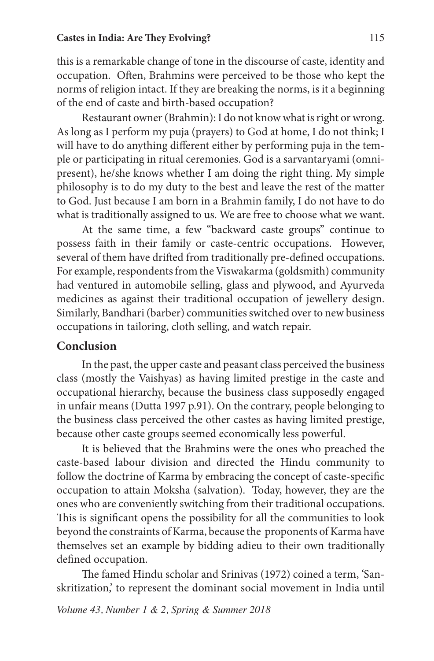this is a remarkable change of tone in the discourse of caste, identity and occupation. Often, Brahmins were perceived to be those who kept the norms of religion intact. If they are breaking the norms, is it a beginning of the end of caste and birth-based occupation?

Restaurant owner (Brahmin): I do not know what is right or wrong. As long as I perform my puja (prayers) to God at home, I do not think; I will have to do anything different either by performing puja in the temple or participating in ritual ceremonies. God is a sarvantaryami (omnipresent), he/she knows whether I am doing the right thing. My simple philosophy is to do my duty to the best and leave the rest of the matter to God. Just because I am born in a Brahmin family, I do not have to do what is traditionally assigned to us. We are free to choose what we want.

At the same time, a few "backward caste groups" continue to possess faith in their family or caste-centric occupations. However, several of them have drifted from traditionally pre-defined occupations. For example, respondents from the Viswakarma (goldsmith) community had ventured in automobile selling, glass and plywood, and Ayurveda medicines as against their traditional occupation of jewellery design. Similarly, Bandhari (barber) communities switched over to new business occupations in tailoring, cloth selling, and watch repair.

### **Conclusion**

In the past, the upper caste and peasant class perceived the business class (mostly the Vaishyas) as having limited prestige in the caste and occupational hierarchy, because the business class supposedly engaged in unfair means (Dutta 1997 p.91). On the contrary, people belonging to the business class perceived the other castes as having limited prestige, because other caste groups seemed economically less powerful.

It is believed that the Brahmins were the ones who preached the caste-based labour division and directed the Hindu community to follow the doctrine of Karma by embracing the concept of caste-specific occupation to attain Moksha (salvation). Today, however, they are the ones who are conveniently switching from their traditional occupations. This is significant opens the possibility for all the communities to look beyond the constraints of Karma, because the proponents of Karma have themselves set an example by bidding adieu to their own traditionally defined occupation.

The famed Hindu scholar and Srinivas (1972) coined a term, 'Sanskritization,' to represent the dominant social movement in India until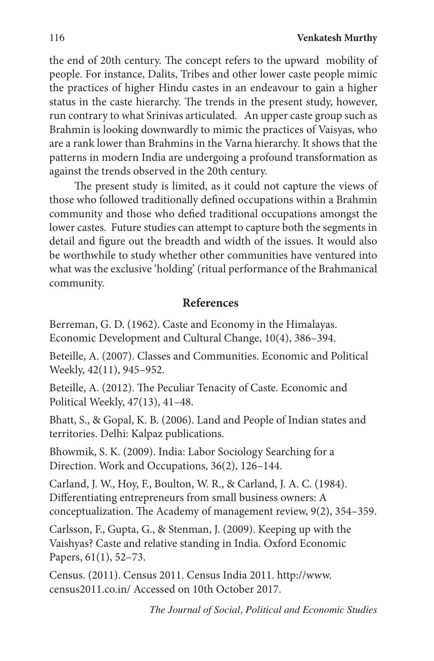the end of 20th century. The concept refers to the upward mobility of people. For instance, Dalits, Tribes and other lower caste people mimic the practices of higher Hindu castes in an endeavour to gain a higher status in the caste hierarchy. The trends in the present study, however, run contrary to what Srinivas articulated. An upper caste group such as Brahmin is looking downwardly to mimic the practices of Vaisyas, who are a rank lower than Brahmins in the Varna hierarchy. It shows that the patterns in modern India are undergoing a profound transformation as against the trends observed in the 20th century.

The present study is limited, as it could not capture the views of those who followed traditionally defined occupations within a Brahmin community and those who defied traditional occupations amongst the lower castes. Future studies can attempt to capture both the segments in detail and figure out the breadth and width of the issues. It would also be worthwhile to study whether other communities have ventured into what was the exclusive 'holding' (ritual performance of the Brahmanical community.

# **References**

Berreman, G. D. (1962). Caste and Economy in the Himalayas. Economic Development and Cultural Change, 10(4), 386–394.

Beteille, A. (2007). Classes and Communities. Economic and Political Weekly, 42(11), 945–952.

Beteille, A. (2012). The Peculiar Tenacity of Caste. Economic and Political Weekly, 47(13), 41–48.

Bhatt, S., & Gopal, K. B. (2006). Land and People of Indian states and territories. Delhi: Kalpaz publications.

Bhowmik, S. K. (2009). India: Labor Sociology Searching for a Direction. Work and Occupations, 36(2), 126–144.

Carland, J. W., Hoy, F., Boulton, W. R., & Carland, J. A. C. (1984). Differentiating entrepreneurs from small business owners: A conceptualization. The Academy of management review, 9(2), 354–359.

Carlsson, F., Gupta, G., & Stenman, J. (2009). Keeping up with the Vaishyas? Caste and relative standing in India. Oxford Economic Papers, 61(1), 52–73.

Census. (2011). Census 2011. Census India 2011. http://www. census2011.co.in/ Accessed on 10th October 2017.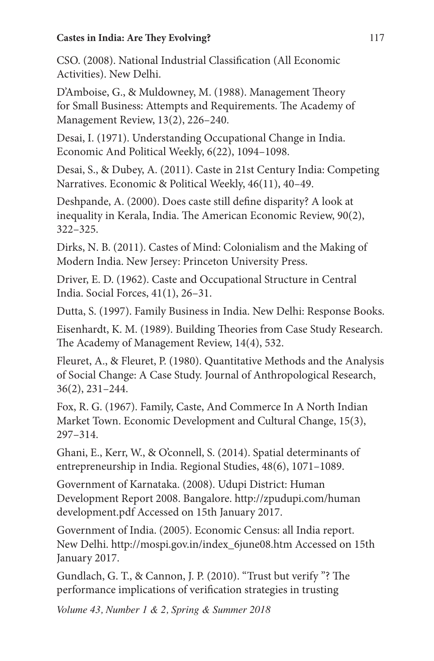### **Castes in India: Are They Evolving?** 117

CSO. (2008). National Industrial Classification (All Economic Activities). New Delhi.

D'Amboise, G., & Muldowney, M. (1988). Management Theory for Small Business: Attempts and Requirements. The Academy of Management Review, 13(2), 226–240.

Desai, I. (1971). Understanding Occupational Change in India. Economic And Political Weekly, 6(22), 1094–1098.

Desai, S., & Dubey, A. (2011). Caste in 21st Century India: Competing Narratives. Economic & Political Weekly, 46(11), 40–49.

Deshpande, A. (2000). Does caste still define disparity? A look at inequality in Kerala, India. The American Economic Review, 90(2), 322–325.

Dirks, N. B. (2011). Castes of Mind: Colonialism and the Making of Modern India. New Jersey: Princeton University Press.

Driver, E. D. (1962). Caste and Occupational Structure in Central India. Social Forces, 41(1), 26–31.

Dutta, S. (1997). Family Business in India. New Delhi: Response Books.

Eisenhardt, K. M. (1989). Building Theories from Case Study Research. The Academy of Management Review, 14(4), 532.

Fleuret, A., & Fleuret, P. (1980). Quantitative Methods and the Analysis of Social Change: A Case Study. Journal of Anthropological Research, 36(2), 231–244.

Fox, R. G. (1967). Family, Caste, And Commerce In A North Indian Market Town. Economic Development and Cultural Change, 15(3), 297–314.

Ghani, E., Kerr, W., & O'connell, S. (2014). Spatial determinants of entrepreneurship in India. Regional Studies, 48(6), 1071–1089.

Government of Karnataka. (2008). Udupi District: Human Development Report 2008. Bangalore. http://zpudupi.com/human development.pdf Accessed on 15th January 2017.

Government of India. (2005). Economic Census: all India report. New Delhi. http://mospi.gov.in/index\_6june08.htm Accessed on 15th January 2017.

Gundlach, G. T., & Cannon, J. P. (2010). "Trust but verify "? The performance implications of verification strategies in trusting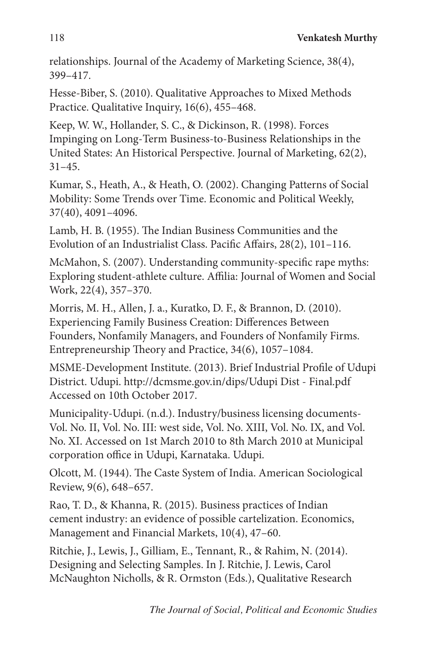relationships. Journal of the Academy of Marketing Science, 38(4), 399–417.

Hesse-Biber, S. (2010). Qualitative Approaches to Mixed Methods Practice. Qualitative Inquiry, 16(6), 455–468.

Keep, W. W., Hollander, S. C., & Dickinson, R. (1998). Forces Impinging on Long-Term Business-to-Business Relationships in the United States: An Historical Perspective. Journal of Marketing, 62(2), 31–45.

Kumar, S., Heath, A., & Heath, O. (2002). Changing Patterns of Social Mobility: Some Trends over Time. Economic and Political Weekly, 37(40), 4091–4096.

Lamb, H. B. (1955). The Indian Business Communities and the Evolution of an Industrialist Class. Pacific Affairs, 28(2), 101–116.

McMahon, S. (2007). Understanding community-specific rape myths: Exploring student-athlete culture. Affilia: Journal of Women and Social Work, 22(4), 357–370.

Morris, M. H., Allen, J. a., Kuratko, D. F., & Brannon, D. (2010). Experiencing Family Business Creation: Differences Between Founders, Nonfamily Managers, and Founders of Nonfamily Firms. Entrepreneurship Theory and Practice, 34(6), 1057–1084.

MSME-Development Institute. (2013). Brief Industrial Profile of Udupi District. Udupi. http://dcmsme.gov.in/dips/Udupi Dist - Final.pdf Accessed on 10th October 2017.

Municipality-Udupi. (n.d.). Industry/business licensing documents-Vol. No. II, Vol. No. III: west side, Vol. No. XIII, Vol. No. IX, and Vol. No. XI. Accessed on 1st March 2010 to 8th March 2010 at Municipal corporation office in Udupi, Karnataka. Udupi.

Olcott, M. (1944). The Caste System of India. American Sociological Review, 9(6), 648–657.

Rao, T. D., & Khanna, R. (2015). Business practices of Indian cement industry: an evidence of possible cartelization. Economics, Management and Financial Markets, 10(4), 47–60.

Ritchie, J., Lewis, J., Gilliam, E., Tennant, R., & Rahim, N. (2014). Designing and Selecting Samples. In J. Ritchie, J. Lewis, Carol McNaughton Nicholls, & R. Ormston (Eds.), Qualitative Research